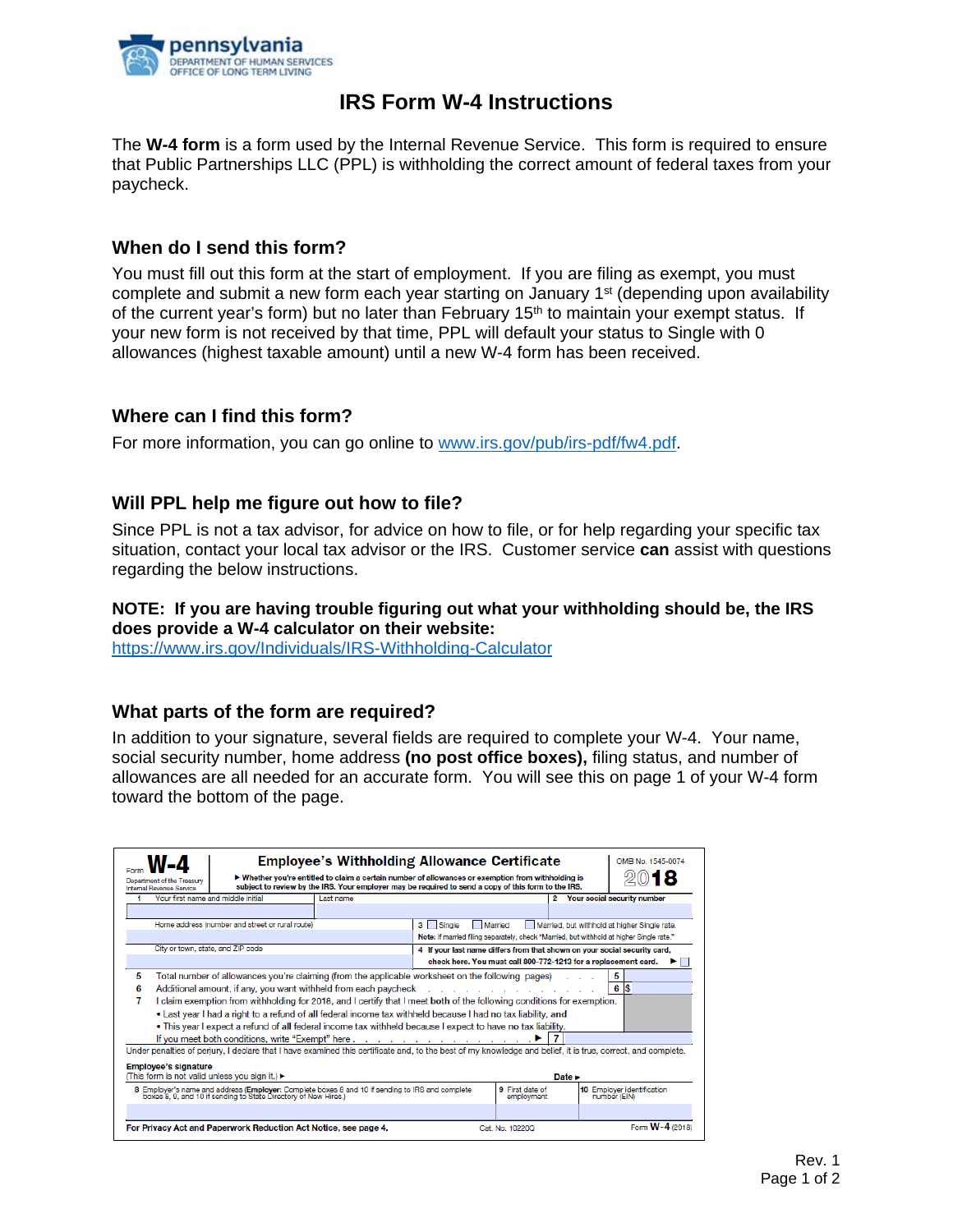

# **IRS Form W-4 Instructions**

The **W-4 form** is a form used by the Internal Revenue Service. This form is required to ensure that Public Partnerships LLC (PPL) is withholding the correct amount of federal taxes from your paycheck.

## **When do I send this form?**

You must fill out this form at the start of employment. If you are filing as exempt, you must complete and submit a new form each year starting on January  $1<sup>st</sup>$  (depending upon availability of the current year's form) but no later than February  $15<sup>th</sup>$  to maintain your exempt status. If your new form is not received by that time, PPL will default your status to Single with 0 allowances (highest taxable amount) until a new W-4 form has been received.

## **Where can I find this form?**

For more information, you can go online to [www.irs.gov/pub/irs-pdf/fw4.pdf.](http://www.irs.gov/pub/irs-pdf/fw4.pdf)

## **Will PPL help me figure out how to file?**

Since PPL is not a tax advisor, for advice on how to file, or for help regarding your specific tax situation, contact your local tax advisor or the IRS. Customer service **can** assist with questions regarding the below instructions.

#### **NOTE: If you are having trouble figuring out what your withholding should be, the IRS does provide a W-4 calculator on their website:**

<https://www.irs.gov/Individuals/IRS-Withholding-Calculator>

## **What parts of the form are required?**

In addition to your signature, several fields are required to complete your W-4. Your name, social security number, home address **(no post office boxes),** filing status, and number of allowances are all needed for an accurate form. You will see this on page 1 of your W-4 form toward the bottom of the page.

| <b>Employee's Withholding Allowance Certificate</b>                                                                                                         |                                                                                                                        |                                                                                          |                                                                           |                 |                                                                |  |
|-------------------------------------------------------------------------------------------------------------------------------------------------------------|------------------------------------------------------------------------------------------------------------------------|------------------------------------------------------------------------------------------|---------------------------------------------------------------------------|-----------------|----------------------------------------------------------------|--|
|                                                                                                                                                             |                                                                                                                        |                                                                                          |                                                                           |                 | OMB No. 1545-0074                                              |  |
| ► Whether you're entitled to claim a certain number of allowances or exemption from withholding is<br>Department of the Treasury                            |                                                                                                                        |                                                                                          |                                                                           |                 |                                                                |  |
| subject to review by the IRS. Your employer may be required to send a copy of this form to the IRS.<br>Internal Revenue Service                             |                                                                                                                        |                                                                                          |                                                                           |                 |                                                                |  |
|                                                                                                                                                             | Your first name and middle initial                                                                                     | Last name                                                                                |                                                                           |                 | 2 Your social security number                                  |  |
|                                                                                                                                                             |                                                                                                                        |                                                                                          |                                                                           |                 |                                                                |  |
| Home address (number and street or rural route)                                                                                                             |                                                                                                                        |                                                                                          | 3   Single<br>Married<br>Married, but withhold at higher Single rate.     |                 |                                                                |  |
|                                                                                                                                                             |                                                                                                                        | Note: If married filing separately, check "Married, but withhold at higher Single rate." |                                                                           |                 |                                                                |  |
| City or town, state, and ZIP code                                                                                                                           |                                                                                                                        |                                                                                          | 4 If your last name differs from that shown on your social security card. |                 |                                                                |  |
|                                                                                                                                                             |                                                                                                                        |                                                                                          |                                                                           |                 | check here. You must call 800-772-1213 for a replacement card. |  |
| 5<br>Total number of allowances you're claiming (from the applicable worksheet on the following pages)<br>5                                                 |                                                                                                                        |                                                                                          |                                                                           |                 |                                                                |  |
| 6                                                                                                                                                           | 6<br>1\$<br>Additional amount, if any, you want withheld from each paycheck                                            |                                                                                          |                                                                           |                 |                                                                |  |
|                                                                                                                                                             | I claim exemption from withholding for 2018, and I certify that I meet both of the following conditions for exemption. |                                                                                          |                                                                           |                 |                                                                |  |
|                                                                                                                                                             | • Last year I had a right to a refund of all federal income tax withheld because I had no tax liability, and           |                                                                                          |                                                                           |                 |                                                                |  |
|                                                                                                                                                             | . This year I expect a refund of all federal income tax withheld because I expect to have no tax liability.            |                                                                                          |                                                                           |                 |                                                                |  |
|                                                                                                                                                             | If you meet both conditions, write "Exempt" here                                                                       |                                                                                          |                                                                           |                 |                                                                |  |
| Under penalties of perjury, I declare that I have examined this certificate and, to the best of my knowledge and belief, it is true, correct, and complete. |                                                                                                                        |                                                                                          |                                                                           |                 |                                                                |  |
|                                                                                                                                                             |                                                                                                                        |                                                                                          |                                                                           |                 |                                                                |  |
| <b>Employee's signature</b><br>(This form is not valid unless you sign it.) ►<br>Date $\blacktriangleright$                                                 |                                                                                                                        |                                                                                          |                                                                           |                 |                                                                |  |
| 8 Employer's name and address (Employer: Complete boxes 8 and 10 if sending to IRS and complete                                                             |                                                                                                                        |                                                                                          |                                                                           | 9 First date of | 10 Employer identification                                     |  |
|                                                                                                                                                             | boxes 8, 9, and 10 if sending to State Directory of New Hires.)                                                        |                                                                                          | employment                                                                | number (EIN)    |                                                                |  |
|                                                                                                                                                             |                                                                                                                        |                                                                                          |                                                                           |                 |                                                                |  |
|                                                                                                                                                             |                                                                                                                        |                                                                                          |                                                                           |                 |                                                                |  |
| Form W-4<br>For Privacy Act and Paperwork Reduction Act Notice, see page 4.<br>Cat. No. 10220Q                                                              |                                                                                                                        |                                                                                          |                                                                           |                 |                                                                |  |